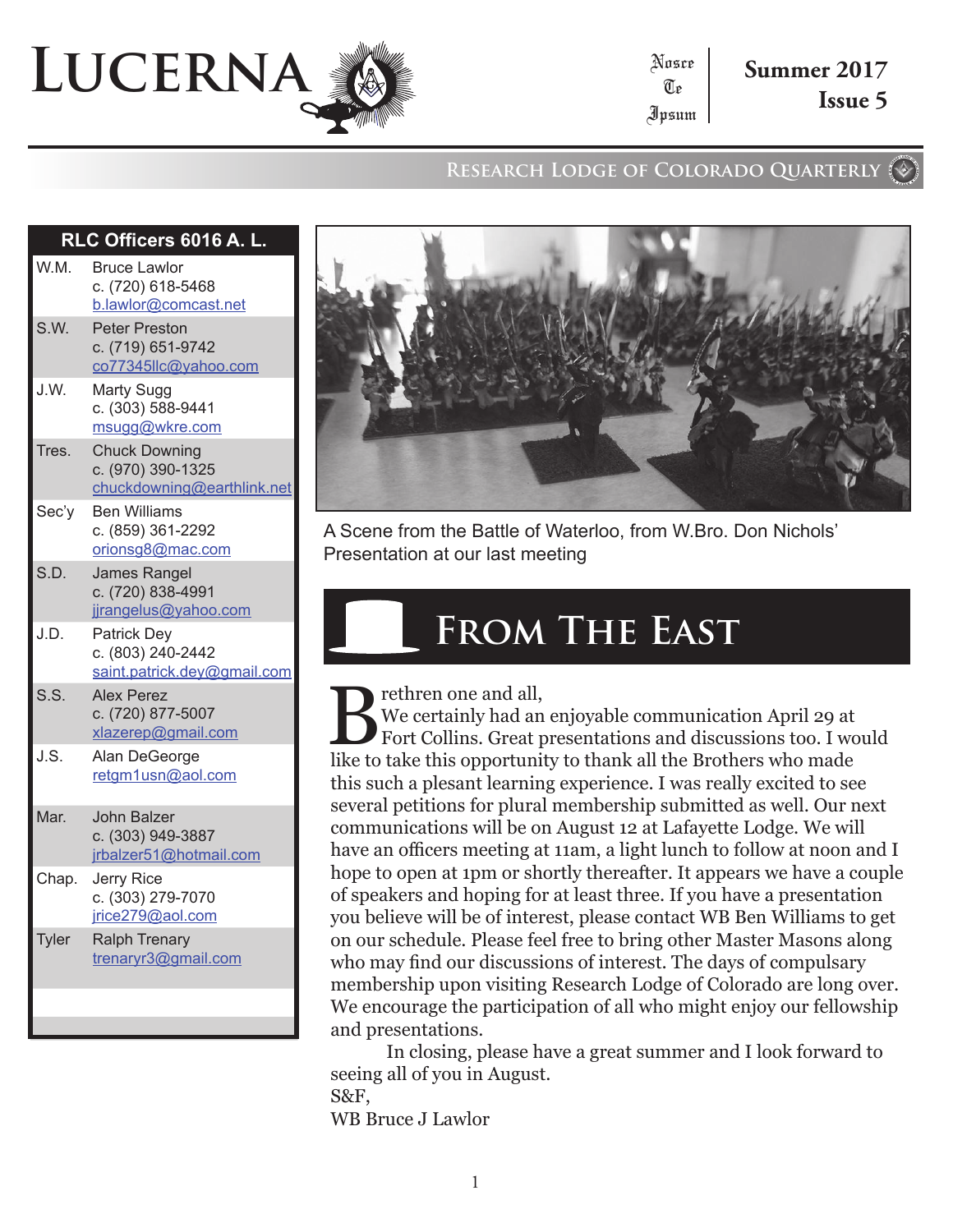# **Lucerna**

**Research Lodge of Colorado Quarterly**

Nosce Te Ipsum

|              | RLC Officers 6016 A. L.                                                 |
|--------------|-------------------------------------------------------------------------|
| W.M.         | <b>Bruce Lawlor</b><br>c. (720) 618-5468<br>b.lawlor@comcast.net        |
| S.W.         | <b>Peter Preston</b><br>c. (719) 651-9742<br>co77345llc@yahoo.com       |
| J.W.         | Marty Sugg<br>c. (303) 588-9441<br>msugg@wkre.com                       |
| Tres.        | <b>Chuck Downing</b><br>c. (970) 390-1325<br>chuckdowning@earthlink.net |
| Sec'y        | <b>Ben Williams</b><br>c. (859) 361-2292<br>orionsg8@mac.com            |
| S.D.         | <b>James Rangel</b><br>c. (720) 838-4991<br>jjrangelus@yahoo.com        |
| J.D.         | <b>Patrick Dey</b><br>c. (803) 240-2442<br>saint.patrick.dey@gmail.com  |
| S.S.         | <b>Alex Perez</b><br>c. (720) 877-5007<br>xlazerep@gmail.com            |
| J.S.         | Alan DeGeorge<br>retgm1usn@aol.com                                      |
| Mar.         | John Balzer<br>c. (303) 949-3887<br>jrbalzer51@hotmail.com              |
| Chap.        | Jerry Rice<br>c. (303) 279-7070<br>jrice279@aol.com                     |
| <b>Tyler</b> | <b>Ralph Trenary</b><br>trenaryr3@gmail.com                             |
|              |                                                                         |



A Scene from the Battle of Waterloo, from W.Bro. Don Nichols' Presentation at our last meeting

### **From The East**

rethren one and all,

We certainly had an enjoyable communication April 29 at Fort Collins. Great presentations and discussions too. I would like to take this opportunity to thank all the Brothers who made this such a plesant learning experience. I was really excited to see several petitions for plural membership submitted as well. Our next communications will be on August 12 at Lafayette Lodge. We will have an officers meeting at 11am, a light lunch to follow at noon and I hope to open at 1pm or shortly thereafter. It appears we have a couple of speakers and hoping for at least three. If you have a presentation you believe will be of interest, please contact WB Ben Williams to get on our schedule. Please feel free to bring other Master Masons along who may find our discussions of interest. The days of compulsary membership upon visiting Research Lodge of Colorado are long over. We encourage the participation of all who might enjoy our fellowship and presentations.

In closing, please have a great summer and I look forward to seeing all of you in August. S&F,

WB Bruce J Lawlor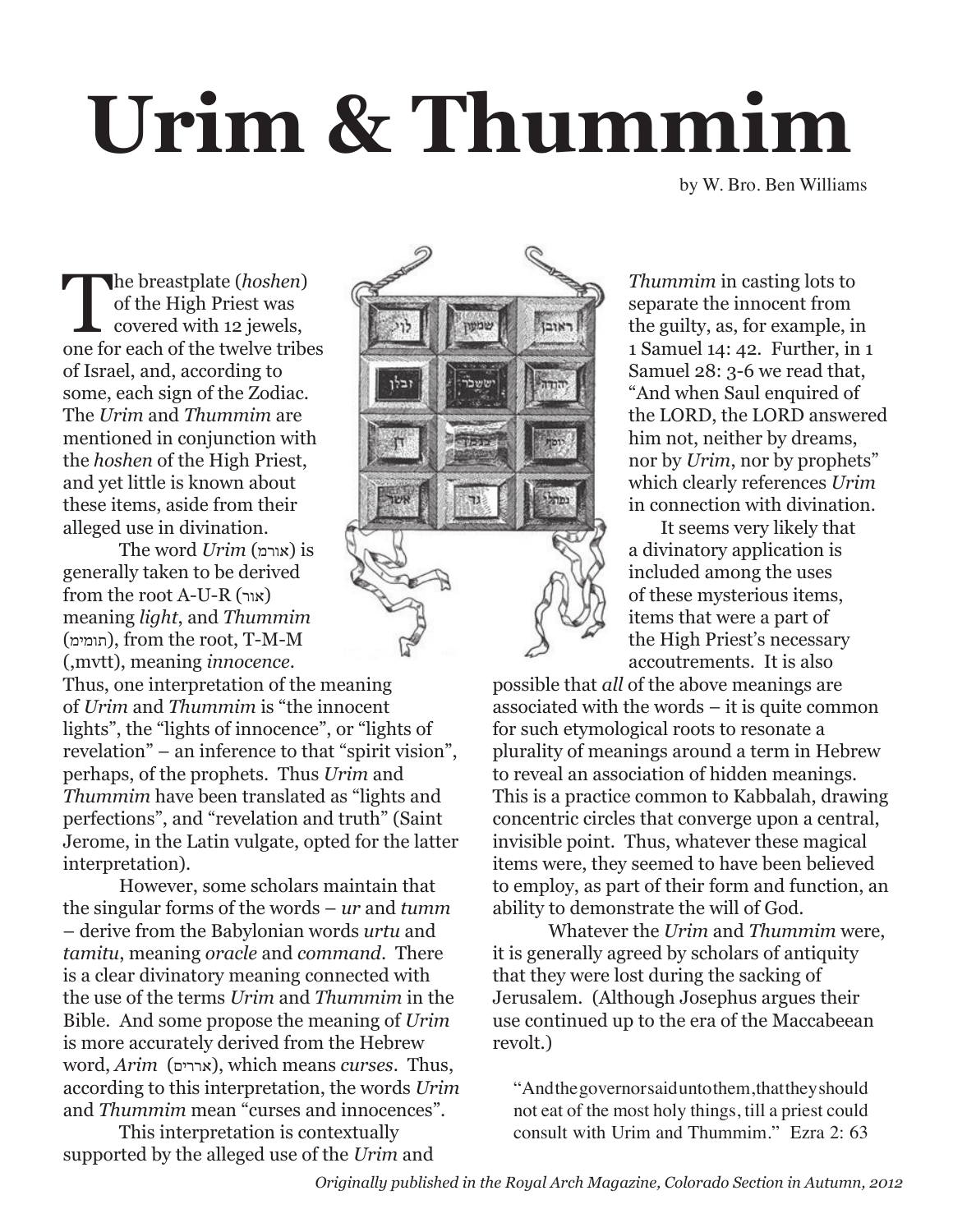## **Urim & Thummim**

by W. Bro. Ben Williams

The breastplate (*hoshen*) of the High Priest was covered with 12 jewels, one for each of the twelve tribes of Israel, and, according to some, each sign of the Zodiac. The *Urim* and *Thummim* are mentioned in conjunction with the *hoshen* of the High Priest, and yet little is known about these items, aside from their alleged use in divination.

The word *Urim* (אורמ (is generally taken to be derived from the root A-U-R (אור ( meaning *light*, and *Thummim* (תומימ(, from the root, T-M-M (,mvtt), meaning *innocence*.

Thus, one interpretation of the meaning of *Urim* and *Thummim* is "the innocent lights", the "lights of innocence", or "lights of revelation" – an inference to that "spirit vision", perhaps, of the prophets. Thus *Urim* and *Thummim* have been translated as "lights and perfections", and "revelation and truth" (Saint Jerome, in the Latin vulgate, opted for the latter interpretation).

However, some scholars maintain that the singular forms of the words – *ur* and *tumm* – derive from the Babylonian words *urtu* and *tamitu*, meaning *oracle* and *command*. There is a clear divinatory meaning connected with the use of the terms *Urim* and *Thummim* in the Bible. And some propose the meaning of *Urim* is more accurately derived from the Hebrew word, *Arim* (אררים), which means *curses*. Thus, according to this interpretation, the words *Urim* and *Thummim* mean "curses and innocences".

This interpretation is contextually supported by the alleged use of the *Urim* and



*Thummim* in casting lots to separate the innocent from the guilty, as, for example, in 1 Samuel 14: 42. Further, in 1 Samuel 28: 3-6 we read that, "And when Saul enquired of the LORD, the LORD answered him not, neither by dreams, nor by *Urim*, nor by prophets" which clearly references *Urim* in connection with divination.

It seems very likely that a divinatory application is included among the uses of these mysterious items, items that were a part of the High Priest's necessary accoutrements. It is also

possible that *all* of the above meanings are associated with the words – it is quite common for such etymological roots to resonate a plurality of meanings around a term in Hebrew to reveal an association of hidden meanings. This is a practice common to Kabbalah, drawing concentric circles that converge upon a central, invisible point. Thus, whatever these magical items were, they seemed to have been believed to employ, as part of their form and function, an ability to demonstrate the will of God.

Whatever the *Urim* and *Thummim* were, it is generally agreed by scholars of antiquity that they were lost during the sacking of Jerusalem. (Although Josephus argues their use continued up to the era of the Maccabeean revolt.)

"And the governor said unto them, that they should not eat of the most holy things, till a priest could consult with Urim and Thummim." Ezra 2: 63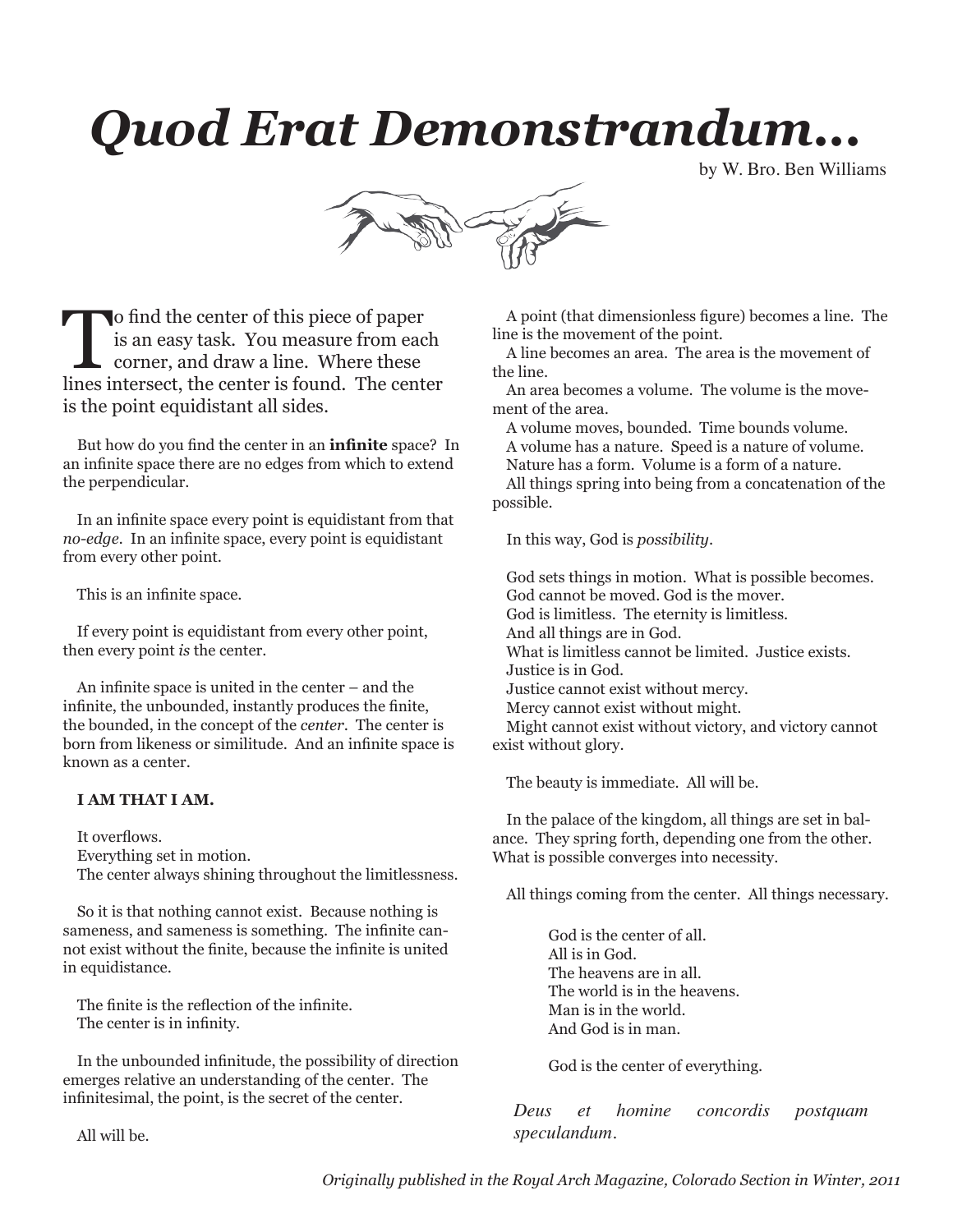## *Quod Erat Demonstrandum...*

by W. Bro. Ben Williams



To find the center of this piece of paper<br>is an easy task. You measure from eac<br>corner, and draw a line. Where these<br>lines intersect, the center is found. The center is an easy task. You measure from each corner, and draw a line. Where these lines intersect, the center is found. The center is the point equidistant all sides.

But how do you find the center in an **infinite** space? In an infinite space there are no edges from which to extend the perpendicular.

In an infinite space every point is equidistant from that *no-edge.* In an infinite space, every point is equidistant from every other point.

This is an infinite space.

If every point is equidistant from every other point, then every point *is* the center.

An infinite space is united in the center – and the infinite, the unbounded, instantly produces the finite, the bounded, in the concept of the *center*. The center is born from likeness or similitude. And an infinite space is known as a center.

#### **I AM THAT I AM.**

It overflows. Everything set in motion. The center always shining throughout the limitlessness.

So it is that nothing cannot exist. Because nothing is sameness, and sameness is something. The infinite cannot exist without the finite, because the infinite is united in equidistance.

The finite is the reflection of the infinite. The center is in infinity.

In the unbounded infinitude, the possibility of direction emerges relative an understanding of the center. The infinitesimal, the point, is the secret of the center.

All will be.

A point (that dimensionless figure) becomes a line. The line is the movement of the point.

A line becomes an area. The area is the movement of the line.

An area becomes a volume. The volume is the movement of the area.

A volume moves, bounded. Time bounds volume.

A volume has a nature. Speed is a nature of volume.

Nature has a form. Volume is a form of a nature. All things spring into being from a concatenation of the possible.

In this way, God is *possibility*.

God sets things in motion. What is possible becomes. God cannot be moved. God is the mover. God is limitless. The eternity is limitless. And all things are in God. What is limitless cannot be limited. Justice exists. Justice is in God. Justice cannot exist without mercy. Mercy cannot exist without might. Might cannot exist without victory, and victory cannot exist without glory.

The beauty is immediate. All will be.

In the palace of the kingdom, all things are set in balance. They spring forth, depending one from the other. What is possible converges into necessity.

All things coming from the center. All things necessary.

God is the center of all. All is in God. The heavens are in all. The world is in the heavens. Man is in the world. And God is in man.

God is the center of everything.

*Deus et homine concordis postquam speculandum.*